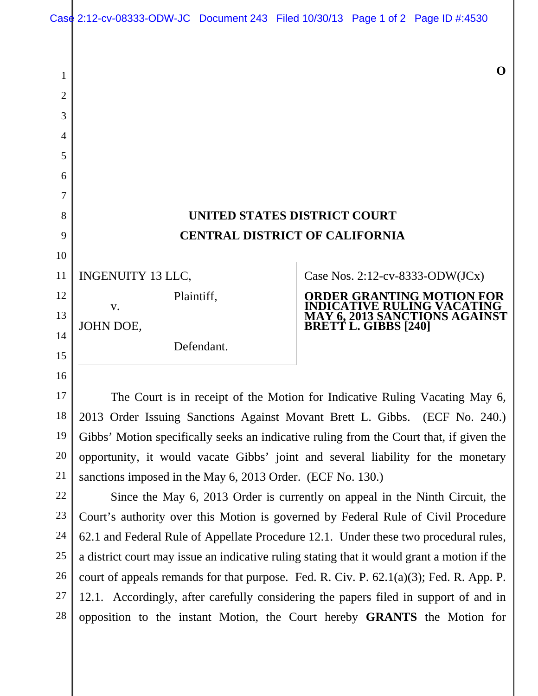## **UNITED STATES DISTRICT COURT CENTRAL DISTRICT OF CALIFORNIA**

INGENUITY 13 LLC,

Plaintiff,

Defendant.

JOHN DOE,

v.

Case Nos. 2:12-cv-8333-ODW(JCx)

**BRETT L. GIBBS [240]** 

**ORDER GRANTING MOTION FOR INDICATIVE RULING VACATING MAY 6, 2013 SANCTIONS AGAINST** 

The Court is in receipt of the Motion for Indicative Ruling Vacating May 6, 2013 Order Issuing Sanctions Against Movant Brett L. Gibbs. (ECF No. 240.) Gibbs' Motion specifically seeks an indicative ruling from the Court that, if given the opportunity, it would vacate Gibbs' joint and several liability for the monetary sanctions imposed in the May 6, 2013 Order. (ECF No. 130.)

Since the May 6, 2013 Order is currently on appeal in the Ninth Circuit, the Court's authority over this Motion is governed by Federal Rule of Civil Procedure 62.1 and Federal Rule of Appellate Procedure 12.1. Under these two procedural rules, a district court may issue an indicative ruling stating that it would grant a motion if the court of appeals remands for that purpose. Fed. R. Civ. P.  $62.1(a)(3)$ ; Fed. R. App. P. 12.1. Accordingly, after carefully considering the papers filed in support of and in opposition to the instant Motion, the Court hereby **GRANTS** the Motion for

1

2

3

4

5

**O**